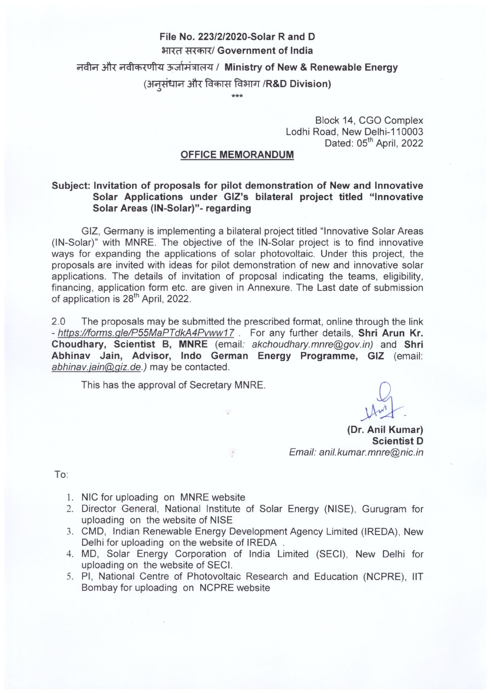# File No. 223/2/2020-Solar R and D भारत सरकार/ Government of India नवीन और नवीकरणीय ऊर्जामंत्रालय / Ministry of New & Renewable Energy (अनुसंधान और विकास विभाग /R&D Division)

Block 14, CGO Complex Lodhi Road, New Delhi-110003 Dated: 05<sup>th</sup> April, 2022

#### **OFFICE MEMORANDUM**

## Subject: Invitation of proposals for pilot demonstration of New and Innovative Solar Applications under GIZ's bilateral project titled "Innovative Solar Areas (IN-Solar)"- regarding

GIZ. Germany is implementing a bilateral project titled "Innovative Solar Areas (IN-Solar)" with MNRE. The objective of the IN-Solar project is to find innovative ways for expanding the applications of solar photovoltaic. Under this project, the proposals are invited with ideas for pilot demonstration of new and innovative solar applications. The details of invitation of proposal indicating the teams, eligibility, financing, application form etc. are given in Annexure. The Last date of submission of application is 28<sup>th</sup> April, 2022.

 $2.0$ The proposals may be submitted the prescribed format, online through the link - https://forms.gle/P55MaPTdkA4Pvww17. For any further details, Shri Arun Kr. Choudhary, Scientist B, MNRE (email: akchoudhary.mnre@gov.in) and Shri Abhinav Jain, Advisor, Indo German Energy Programme, GIZ (email: abhinav.jain@giz.de.) may be contacted.

This has the approval of Secretary MNRE.

(Dr. Anil Kumar) **Scientist D** Email: anil.kumar.mnre@nic.in

To:

- 1. NIC for uploading on MNRE website
- 2. Director General, National Institute of Solar Energy (NISE), Gurugram for uploading on the website of NISE

÷

- 3. CMD, Indian Renewable Energy Development Agency Limited (IREDA), New Delhi for uploading on the website of IREDA.
- 4. MD, Solar Energy Corporation of India Limited (SECI), New Delhi for uploading on the website of SECI.
- 5. PI, National Centre of Photovoltaic Research and Education (NCPRE), IIT Bombay for uploading on NCPRE website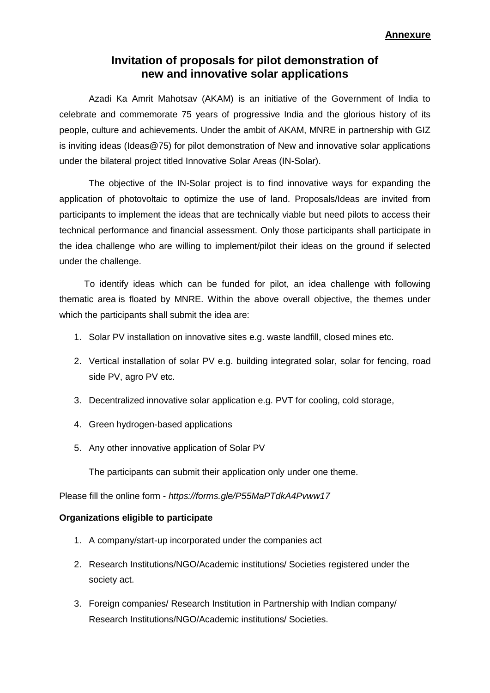# **Invitation of proposals for pilot demonstration of new and innovative solar applications**

Azadi Ka Amrit Mahotsav (AKAM) is an initiative of the Government of India to celebrate and commemorate 75 years of progressive India and the glorious history of its people, culture and achievements. Under the ambit of AKAM, MNRE in partnership with GIZ is inviting ideas (Ideas@75) for pilot demonstration of New and innovative solar applications under the bilateral project titled Innovative Solar Areas (IN-Solar).

The objective of the IN-Solar project is to find innovative ways for expanding the application of photovoltaic to optimize the use of land. Proposals/Ideas are invited from participants to implement the ideas that are technically viable but need pilots to access their technical performance and financial assessment. Only those participants shall participate in the idea challenge who are willing to implement/pilot their ideas on the ground if selected under the challenge.

 To identify ideas which can be funded for pilot, an idea challenge with following thematic area is floated by MNRE. Within the above overall objective, the themes under which the participants shall submit the idea are:

- 1. Solar PV installation on innovative sites e.g. waste landfill, closed mines etc.
- 2. Vertical installation of solar PV e.g. building integrated solar, solar for fencing, road side PV, agro PV etc.
- 3. Decentralized innovative solar application e.g. PVT for cooling, cold storage,
- 4. Green hydrogen-based applications
- 5. Any other innovative application of Solar PV

The participants can submit their application only under one theme.

Please fill the online form - *https://forms.gle/P55MaPTdkA4Pvww17*

#### **Organizations eligible to participate**

- 1. A company/start-up incorporated under the companies act
- 2. Research Institutions/NGO/Academic institutions/ Societies registered under the society act.
- 3. Foreign companies/ Research Institution in Partnership with Indian company/ Research Institutions/NGO/Academic institutions/ Societies.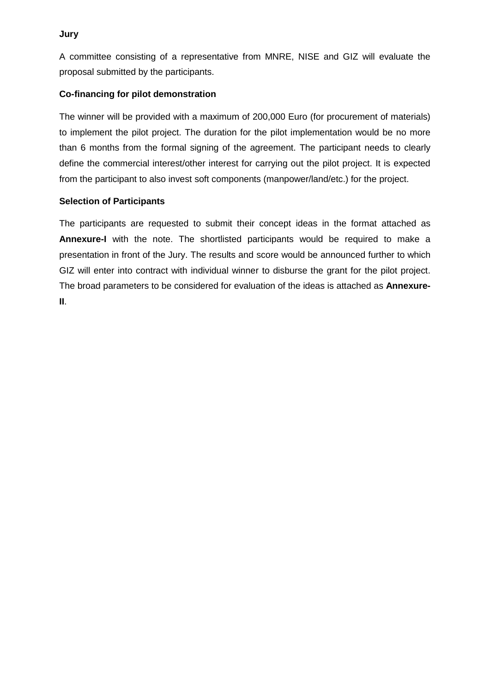### **Jury**

A committee consisting of a representative from MNRE, NISE and GIZ will evaluate the proposal submitted by the participants.

## **Co-financing for pilot demonstration**

The winner will be provided with a maximum of 200,000 Euro (for procurement of materials) to implement the pilot project. The duration for the pilot implementation would be no more than 6 months from the formal signing of the agreement. The participant needs to clearly define the commercial interest/other interest for carrying out the pilot project. It is expected from the participant to also invest soft components (manpower/land/etc.) for the project.

## **Selection of Participants**

The participants are requested to submit their concept ideas in the format attached as **Annexure-I** with the note. The shortlisted participants would be required to make a presentation in front of the Jury. The results and score would be announced further to which GIZ will enter into contract with individual winner to disburse the grant for the pilot project. The broad parameters to be considered for evaluation of the ideas is attached as **Annexure-II**.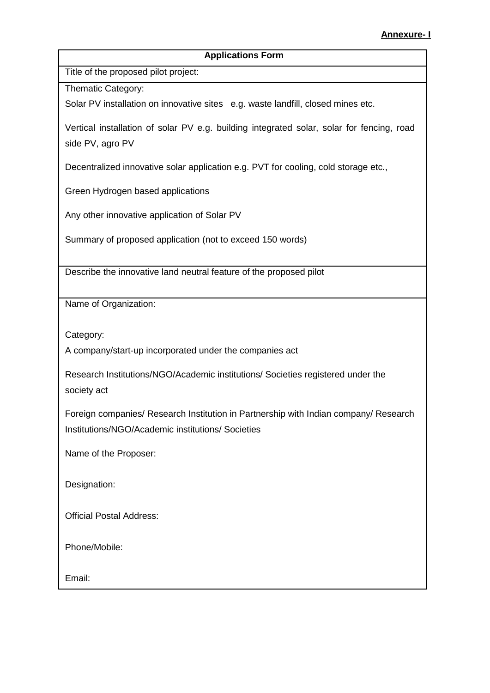#### **Annexure- I**

#### **Applications Form**

Title of the proposed pilot project:

Thematic Category:

Solar PV installation on innovative sites e.g. waste landfill, closed mines etc.

Vertical installation of solar PV e.g. building integrated solar, solar for fencing, road side PV, agro PV

Decentralized innovative solar application e.g. PVT for cooling, cold storage etc.,

Green Hydrogen based applications

Any other innovative application of Solar PV

Summary of proposed application (not to exceed 150 words)

Describe the innovative land neutral feature of the proposed pilot

Name of Organization:

Category:

1. A company/start-up incorporated under the companies act

Research Institutions/NGO/Academic institutions/ Societies registered under the society act

3. Foreign companies/ Research Institution in Partnership with Indian company/ Research Institutions/NGO/Academic institutions/ Societies

Name of the Proposer:

Designation:

Official Postal Address:

Phone/Mobile:

Email: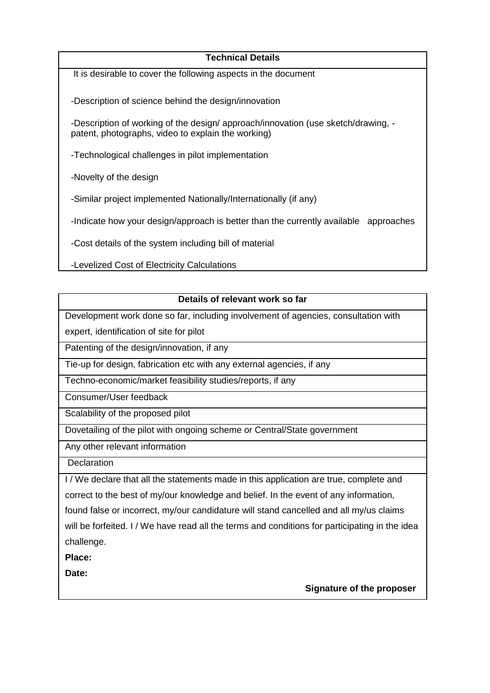#### **Technical Details**

It is desirable to cover the following aspects in the document

-Description of science behind the design/innovation

-Description of working of the design/ approach/innovation (use sketch/drawing, patent, photographs, video to explain the working)

-Technological challenges in pilot implementation

-Novelty of the design

-Similar project implemented Nationally/Internationally (if any)

-Indicate how your design/approach is better than the currently available approaches

-Cost details of the system including bill of material

-Levelized Cost of Electricity Calculations

## **Details of relevant work so far**

Development work done so far, including involvement of agencies, consultation with

expert, identification of site for pilot

Patenting of the design/innovation, if any

Tie-up for design, fabrication etc with any external agencies, if any

Techno-economic/market feasibility studies/reports, if any

Consumer/User feedback

Scalability of the proposed pilot

Dovetailing of the pilot with ongoing scheme or Central/State government

Any other relevant information

**Declaration** 

I / We declare that all the statements made in this application are true, complete and correct to the best of my/our knowledge and belief. In the event of any information, found false or incorrect, my/our candidature will stand cancelled and all my/us claims will be forfeited. I / We have read all the terms and conditions for participating in the idea challenge.

**Place:**

**Date:**

**Signature of the proposer**